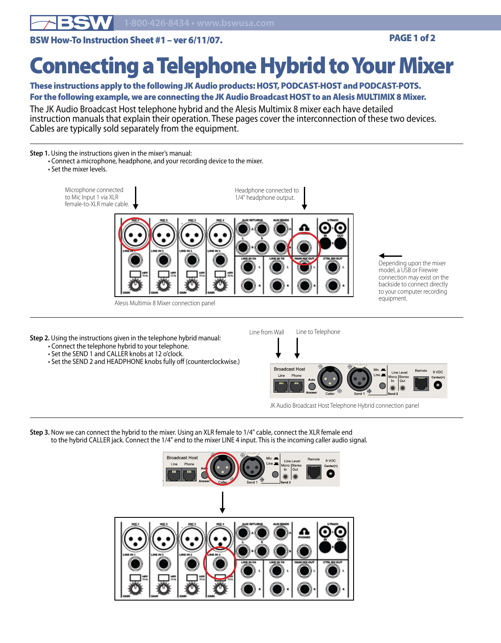

BSW How-To Instruction Sheet #1 – ver 6/11/07. PAGE 1 of 2

## Connecting a Telephone Hybrid to Your Mixer

## These instructions apply to the following JK Audio products: HOST, PODCAST-HOST and PODCAST-POTS. For the following example, we are connecting the JK Audio Broadcast HOST to an Alesis MULTIMIX 8 Mixer.

The JK Audio Broadcast Host telephone hybrid and the Alesis Multimix 8 mixer each have detailed instruction manuals that explain their operation. These pages cover the interconnection of these two devices. Cables are typically sold separately from the equipment.

## **Step 1.** Using the instructions given in the mixer's manual:

- Connect a microphone, headphone, and your recording device to the mixer.
- Set the mixer levels.



Alesis Multimix 8 Mixer connection panel

- **Step 2.** Using the instructions given in the telephone hybrid manual:
	- Connect the telephone hybrid to your telephone.
	- Set the SEND 1 and CALLER knobs at 12 o'clock.
	- Set the SEND 2 and HEADPHONE knobs fully off (counterclockwise.)



 $\blacktriangleleft$ 

Depending upon the mixer model, a USB or Firewire connection may exist on the backside to connect directly to your computer recording

9 VDC

JK Audio Broadcast Host Telephone Hybrid connection panel

**Step 3.** Now we can connect the hybrid to the mixer. Using an XLR female to 1/4" cable, connect the XLR female end to the hybrid CALLER jack. Connect the 1/4" end to the mixer LINE 4 input. This is the incoming caller audio signal.



 $\blacktriangledown$ 

Phone Line

Line from Wall